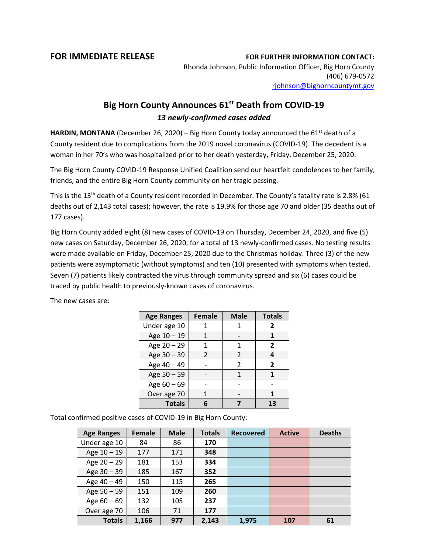## **FOR IMMEDIATE RELEASE FOR FURTHER INFORMATION CONTACT:**

Rhonda Johnson, Public Information Officer, Big Horn County (406) 679-0572 [rjohnson@bighorncountymt.gov](mailto:rjohnson@bighorncountymt.gov)

## **Big Horn County Announces 61st Death from COVID-19** *13 newly-confirmed cases added*

**HARDIN, MONTANA** (December 26, 2020) – Big Horn County today announced the  $61^{st}$  death of a County resident due to complications from the 2019 novel coronavirus (COVID-19). The decedent is a woman in her 70's who was hospitalized prior to her death yesterday, Friday, December 25, 2020.

The Big Horn County COVID-19 Response Unified Coalition send our heartfelt condolences to her family, friends, and the entire Big Horn County community on her tragic passing.

This is the 13<sup>th</sup> death of a County resident recorded in December. The County's fatality rate is 2.8% (61 deaths out of 2,143 total cases); however, the rate is 19.9% for those age 70 and older (35 deaths out of 177 cases).

Big Horn County added eight (8) new cases of COVID-19 on Thursday, December 24, 2020, and five (5) new cases on Saturday, December 26, 2020, for a total of 13 newly-confirmed cases. No testing results were made available on Friday, December 25, 2020 due to the Christmas holiday. Three (3) of the new patients were asymptomatic (without symptoms) and ten (10) presented with symptoms when tested. Seven (7) patients likely contracted the virus through community spread and six (6) cases could be traced by public health to previously-known cases of coronavirus.

| <b>Age Ranges</b> | <b>Female</b> | <b>Male</b>    | <b>Totals</b>  |
|-------------------|---------------|----------------|----------------|
| Under age 10      |               | 1              | 2              |
| Age 10 - 19       | 1             |                | 1              |
| Age 20 - 29       |               | 1              | 2              |
| Age 30 - 39       | $\mathcal{L}$ | $\mathfrak{p}$ | 4              |
| Age 40 - 49       |               | 2              | $\overline{2}$ |
| Age 50 - 59       |               | 1              | 1              |
| Age $60 - 69$     |               |                |                |
| Over age 70       |               |                | 1              |
| <b>Totals</b>     |               |                | 13             |

The new cases are:

Total confirmed positive cases of COVID-19 in Big Horn County:

| <b>Age Ranges</b> | <b>Female</b> | <b>Male</b> | <b>Totals</b> | <b>Recovered</b> | <b>Active</b> | <b>Deaths</b> |
|-------------------|---------------|-------------|---------------|------------------|---------------|---------------|
| Under age 10      | 84            | 86          | 170           |                  |               |               |
| Age $10 - 19$     | 177           | 171         | 348           |                  |               |               |
| Age $20 - 29$     | 181           | 153         | 334           |                  |               |               |
| Age 30 - 39       | 185           | 167         | 352           |                  |               |               |
| Age 40 - 49       | 150           | 115         | 265           |                  |               |               |
| Age 50 - 59       | 151           | 109         | 260           |                  |               |               |
| Age $60 - 69$     | 132           | 105         | 237           |                  |               |               |
| Over age 70       | 106           | 71          | 177           |                  |               |               |
| <b>Totals</b>     | 1,166         | 977         | 2,143         | 1,975            | 107           | 61            |